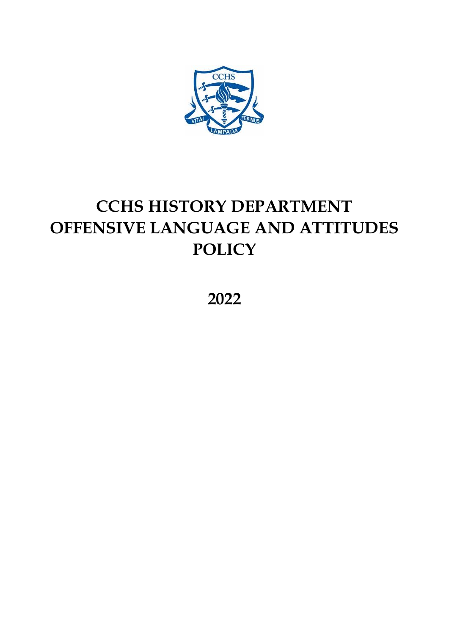

## **CCHS HISTORY DEPARTMENT OFFENSIVE LANGUAGE AND ATTITUDES POLICY**

**2022**